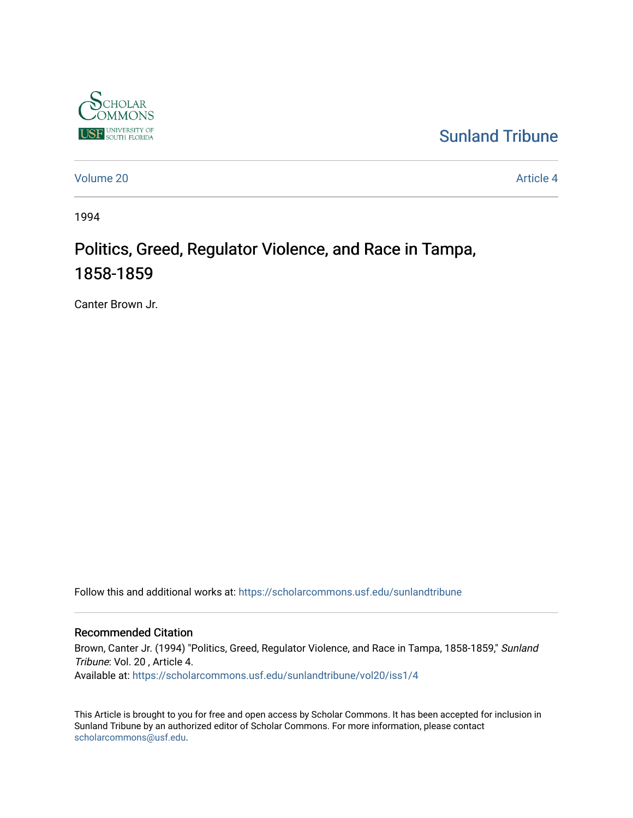

### [Sunland Tribune](https://scholarcommons.usf.edu/sunlandtribune)

[Volume 20](https://scholarcommons.usf.edu/sunlandtribune/vol20) [Article 4](https://scholarcommons.usf.edu/sunlandtribune/vol20/iss1/4) 

1994

# Politics, Greed, Regulator Violence, and Race in Tampa, 1858-1859

Canter Brown Jr.

Follow this and additional works at: [https://scholarcommons.usf.edu/sunlandtribune](https://scholarcommons.usf.edu/sunlandtribune?utm_source=scholarcommons.usf.edu%2Fsunlandtribune%2Fvol20%2Fiss1%2F4&utm_medium=PDF&utm_campaign=PDFCoverPages) 

#### Recommended Citation

Brown, Canter Jr. (1994) "Politics, Greed, Regulator Violence, and Race in Tampa, 1858-1859," Sunland Tribune: Vol. 20 , Article 4. Available at: [https://scholarcommons.usf.edu/sunlandtribune/vol20/iss1/4](https://scholarcommons.usf.edu/sunlandtribune/vol20/iss1/4?utm_source=scholarcommons.usf.edu%2Fsunlandtribune%2Fvol20%2Fiss1%2F4&utm_medium=PDF&utm_campaign=PDFCoverPages) 

This Article is brought to you for free and open access by Scholar Commons. It has been accepted for inclusion in Sunland Tribune by an authorized editor of Scholar Commons. For more information, please contact [scholarcommons@usf.edu.](mailto:scholarcommons@usf.edu)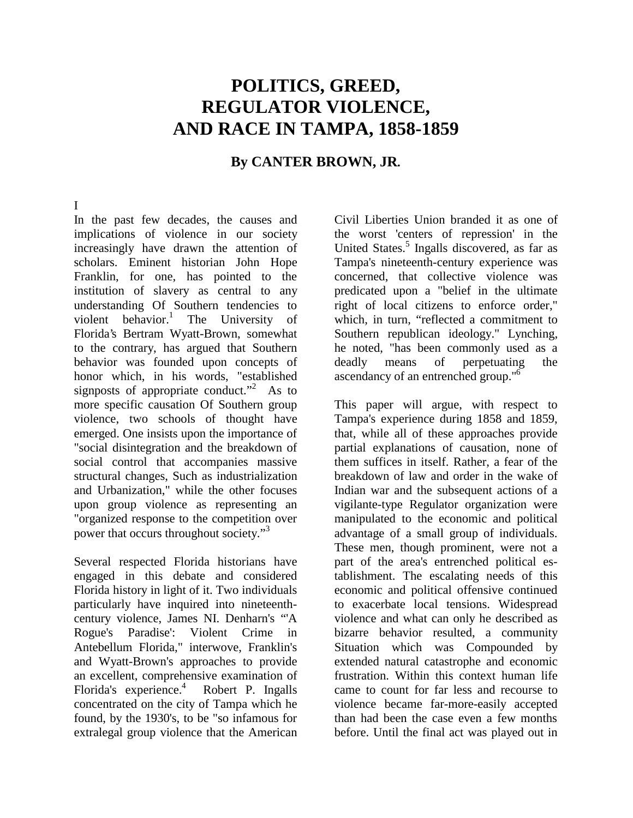## **POLITICS, GREED, REGULATOR VIOLENCE, AND RACE IN TAMPA, 1858-1859**

### **By CANTER BROWN, JR.**

#### I

In the past few decades, the causes and implications of violence in our society increasingly have drawn the attention of scholars. Eminent historian John Hope Franklin, for one, has pointed to the institution of slavery as central to any understanding Of Southern tendencies to violent behavior.<sup>1</sup> The University of Florida's Bertram Wyatt-Brown, somewhat to the contrary, has argued that Southern behavior was founded upon concepts of honor which, in his words, "established signposts of appropriate conduct."<sup>2</sup> As to more specific causation Of Southern group violence, two schools of thought have emerged. One insists upon the importance of "social disintegration and the breakdown of social control that accompanies massive structural changes, Such as industrialization and Urbanization," while the other focuses upon group violence as representing an "organized response to the competition over power that occurs throughout society."<sup>3</sup>

Several respected Florida historians have engaged in this debate and considered Florida history in light of it. Two individuals particularly have inquired into nineteenthcentury violence, James NI. Denharn's "'A Rogue's Paradise': Violent Crime in Antebellum Florida," interwove, Franklin's and Wyatt-Brown's approaches to provide an excellent, comprehensive examination of Florida's experience.<sup>4</sup> Robert P. Ingalls concentrated on the city of Tampa which he found, by the 1930's, to be "so infamous for extralegal group violence that the American

Civil Liberties Union branded it as one of the worst 'centers of repression' in the United States.<sup>5</sup> Ingalls discovered, as far as Tampa's nineteenth-century experience was concerned, that collective violence was predicated upon a "belief in the ultimate right of local citizens to enforce order," which, in turn, "reflected a commitment to Southern republican ideology." Lynching, he noted, "has been commonly used as a deadly means of perpetuating the ascendancy of an entrenched group."6

This paper will argue, with respect to Tampa's experience during 1858 and 1859, that, while all of these approaches provide partial explanations of causation, none of them suffices in itself. Rather, a fear of the breakdown of law and order in the wake of Indian war and the subsequent actions of a vigilante-type Regulator organization were manipulated to the economic and political advantage of a small group of individuals. These men, though prominent, were not a part of the area's entrenched political establishment. The escalating needs of this economic and political offensive continued to exacerbate local tensions. Widespread violence and what can only he described as bizarre behavior resulted, a community Situation which was Compounded by extended natural catastrophe and economic frustration. Within this context human life came to count for far less and recourse to violence became far-more-easily accepted than had been the case even a few months before. Until the final act was played out in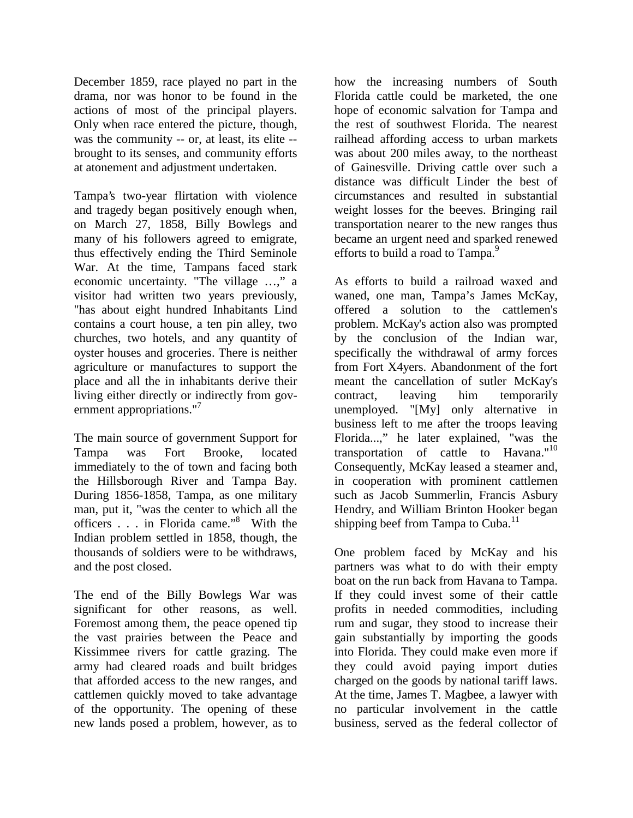December 1859, race played no part in the drama, nor was honor to be found in the actions of most of the principal players. Only when race entered the picture, though, was the community -- or, at least, its elite - brought to its senses, and community efforts at atonement and adjustment undertaken.

Tampa's two-year flirtation with violence and tragedy began positively enough when, on March 27, 1858, Billy Bowlegs and many of his followers agreed to emigrate, thus effectively ending the Third Seminole War. At the time, Tampans faced stark economic uncertainty. "The village ...," a visitor had written two years previously, "has about eight hundred Inhabitants Lind contains a court house, a ten pin alley, two churches, two hotels, and any quantity of oyster houses and groceries. There is neither agriculture or manufactures to support the place and all the in inhabitants derive their living either directly or indirectly from government appropriations."<sup>7</sup>

The main source of government Support for Tampa was Fort Brooke, located immediately to the of town and facing both the Hillsborough River and Tampa Bay. During 1856-1858, Tampa, as one military man, put it, "was the center to which all the officers . . . in Florida came."<sup>8</sup> With the Indian problem settled in 1858, though, the thousands of soldiers were to be withdraws, and the post closed.

The end of the Billy Bowlegs War was significant for other reasons, as well. Foremost among them, the peace opened tip the vast prairies between the Peace and Kissimmee rivers for cattle grazing. The army had cleared roads and built bridges that afforded access to the new ranges, and cattlemen quickly moved to take advantage of the opportunity. The opening of these new lands posed a problem, however, as to

how the increasing numbers of South Florida cattle could be marketed, the one hope of economic salvation for Tampa and the rest of southwest Florida. The nearest railhead affording access to urban markets was about 200 miles away, to the northeast of Gainesville. Driving cattle over such a distance was difficult Linder the best of circumstances and resulted in substantial weight losses for the beeves. Bringing rail transportation nearer to the new ranges thus became an urgent need and sparked renewed efforts to build a road to Tampa.<sup>9</sup>

As efforts to build a railroad waxed and waned, one man, Tampa's James McKay, offered a solution to the cattlemen's problem. McKay's action also was prompted by the conclusion of the Indian war, specifically the withdrawal of army forces from Fort X4yers. Abandonment of the fort meant the cancellation of sutler McKay's contract, leaving him temporarily unemployed. "[My] only alternative in business left to me after the troops leaving Florida...," he later explained, "was the transportation of cattle to Havana." $10$ Consequently, McKay leased a steamer and, in cooperation with prominent cattlemen such as Jacob Summerlin, Francis Asbury Hendry, and William Brinton Hooker began shipping beef from Tampa to Cuba.<sup>11</sup>

One problem faced by McKay and his partners was what to do with their empty boat on the run back from Havana to Tampa. If they could invest some of their cattle profits in needed commodities, including rum and sugar, they stood to increase their gain substantially by importing the goods into Florida. They could make even more if they could avoid paying import duties charged on the goods by national tariff laws. At the time, James T. Magbee, a lawyer with no particular involvement in the cattle business, served as the federal collector of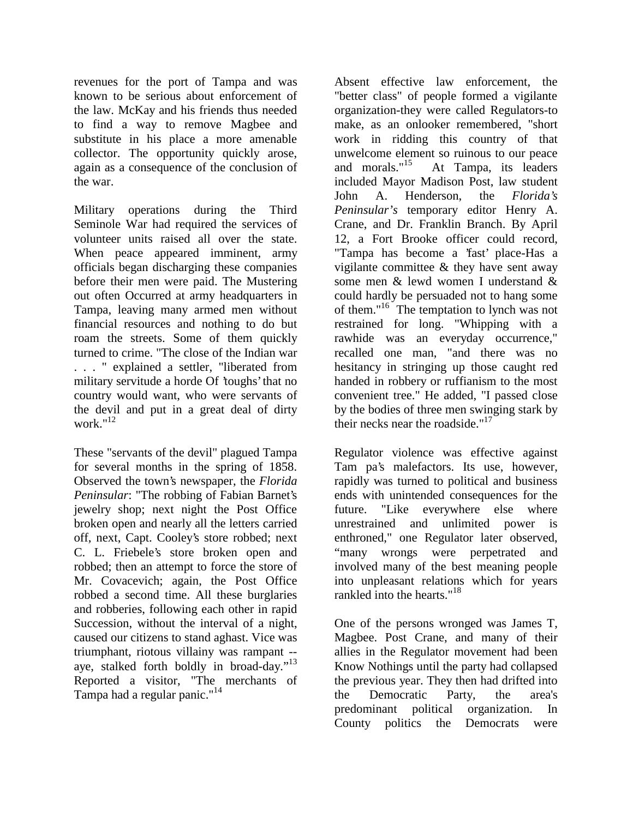revenues for the port of Tampa and was known to be serious about enforcement of the law. McKay and his friends thus needed to find a way to remove Magbee and substitute in his place a more amenable collector. The opportunity quickly arose, again as a consequence of the conclusion of the war.

Military operations during the Third Seminole War had required the services of volunteer units raised all over the state. When peace appeared imminent, army officials began discharging these companies before their men were paid. The Mustering out often Occurred at army headquarters in Tampa, leaving many armed men without financial resources and nothing to do but roam the streets. Some of them quickly turned to crime. "The close of the Indian war . . . " explained a settler, "liberated from military servitude a horde Of 'toughs' that no country would want, who were servants of the devil and put in a great deal of dirty work  $n^{12}$ 

These "servants of the devil" plagued Tampa for several months in the spring of 1858. Observed the town's newspaper, the *Florida Peninsular*: "The robbing of Fabian Barnet's jewelry shop; next night the Post Office broken open and nearly all the letters carried off, next, Capt. Cooley's store robbed; next C. L. Friebele's store broken open and robbed; then an attempt to force the store of Mr. Covacevich; again, the Post Office robbed a second time. All these burglaries and robberies, following each other in rapid Succession, without the interval of a night, caused our citizens to stand aghast. Vice was triumphant, riotous villainy was rampant - aye, stalked forth boldly in broad-day."13 Reported a visitor, "The merchants of Tampa had a regular panic."14

Absent effective law enforcement, the "better class" of people formed a vigilante organization-they were called Regulators-to make, as an onlooker remembered, "short work in ridding this country of that unwelcome element so ruinous to our peace<br>and morals."<sup>15</sup> At Tampa, its leaders At Tampa, its leaders included Mayor Madison Post, law student John A. Henderson, the *Florida's Peninsular's* temporary editor Henry A. Crane, and Dr. Franklin Branch. By April 12, a Fort Brooke officer could record, "Tampa has become a 'fast' place-Has a vigilante committee & they have sent away some men & lewd women I understand & could hardly be persuaded not to hang some of them."16 The temptation to lynch was not restrained for long. "Whipping with a rawhide was an everyday occurrence," recalled one man, "and there was no hesitancy in stringing up those caught red handed in robbery or ruffianism to the most convenient tree." He added, "I passed close by the bodies of three men swinging stark by their necks near the roadside." $17$ 

Regulator violence was effective against Tam pa's malefactors. Its use, however, rapidly was turned to political and business ends with unintended consequences for the future. "Like everywhere else where unrestrained and unlimited power is enthroned," one Regulator later observed, "many wrongs were perpetrated and involved many of the best meaning people into unpleasant relations which for years rankled into the hearts."<sup>18</sup>

One of the persons wronged was James T, Magbee. Post Crane, and many of their allies in the Regulator movement had been Know Nothings until the party had collapsed the previous year. They then had drifted into the Democratic Party, the area's predominant political organization. In County politics the Democrats were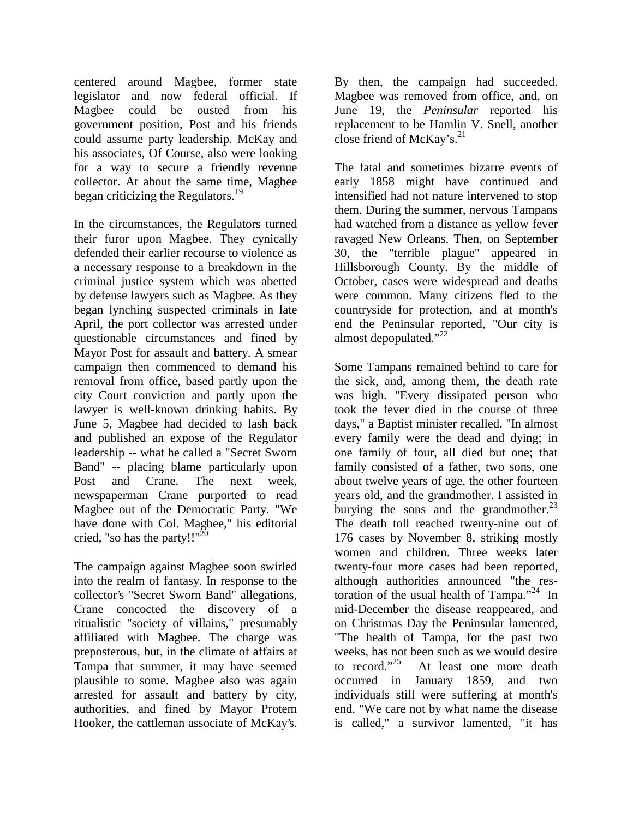centered around Magbee, former state legislator and now federal official. If Magbee could be ousted from his government position, Post and his friends could assume party leadership. McKay and his associates, Of Course, also were looking for a way to secure a friendly revenue collector. At about the same time, Magbee began criticizing the Regulators.<sup>19</sup>

In the circumstances, the Regulators turned their furor upon Magbee. They cynically defended their earlier recourse to violence as a necessary response to a breakdown in the criminal justice system which was abetted by defense lawyers such as Magbee. As they began lynching suspected criminals in late April, the port collector was arrested under questionable circumstances and fined by Mayor Post for assault and battery. A smear campaign then commenced to demand his removal from office, based partly upon the city Court conviction and partly upon the lawyer is well-known drinking habits. By June 5, Magbee had decided to lash back and published an expose of the Regulator leadership -- what he called a "Secret Sworn Band" -- placing blame particularly upon Post and Crane. The next week, newspaperman Crane purported to read Magbee out of the Democratic Party. "We have done with Col. Magbee," his editorial cried, "so has the party!!" $^{20}$ 

The campaign against Magbee soon swirled into the realm of fantasy. In response to the collector's "Secret Sworn Band" allegations, Crane concocted the discovery of a ritualistic "society of villains," presumably affiliated with Magbee. The charge was preposterous, but, in the climate of affairs at Tampa that summer, it may have seemed plausible to some. Magbee also was again arrested for assault and battery by city, authorities, and fined by Mayor Protem Hooker, the cattleman associate of McKay's.

By then, the campaign had succeeded. Magbee was removed from office, and, on June 19, the *Peninsular* reported his replacement to be Hamlin V. Snell, another close friend of McKay's. $^{21}$ 

The fatal and sometimes bizarre events of early 1858 might have continued and intensified had not nature intervened to stop them. During the summer, nervous Tampans had watched from a distance as yellow fever ravaged New Orleans. Then, on September 30, the "terrible plague" appeared in Hillsborough County. By the middle of October, cases were widespread and deaths were common. Many citizens fled to the countryside for protection, and at month's end the Peninsular reported, "Our city is almost depopulated."<sup>22</sup>

Some Tampans remained behind to care for the sick, and, among them, the death rate was high. "Every dissipated person who took the fever died in the course of three days," a Baptist minister recalled. "In almost every family were the dead and dying; in one family of four, all died but one; that family consisted of a father, two sons, one about twelve years of age, the other fourteen years old, and the grandmother. I assisted in burying the sons and the grandmother. $^{23}$ The death toll reached twenty-nine out of 176 cases by November 8, striking mostly women and children. Three weeks later twenty-four more cases had been reported, although authorities announced "the restoration of the usual health of Tampa."24 In mid-December the disease reappeared, and on Christmas Day the Peninsular lamented, "The health of Tampa, for the past two weeks, has not been such as we would desire<br>to record."<sup>25</sup> At least one more death At least one more death occurred in January 1859, and two individuals still were suffering at month's end. "We care not by what name the disease is called," a survivor lamented, "it has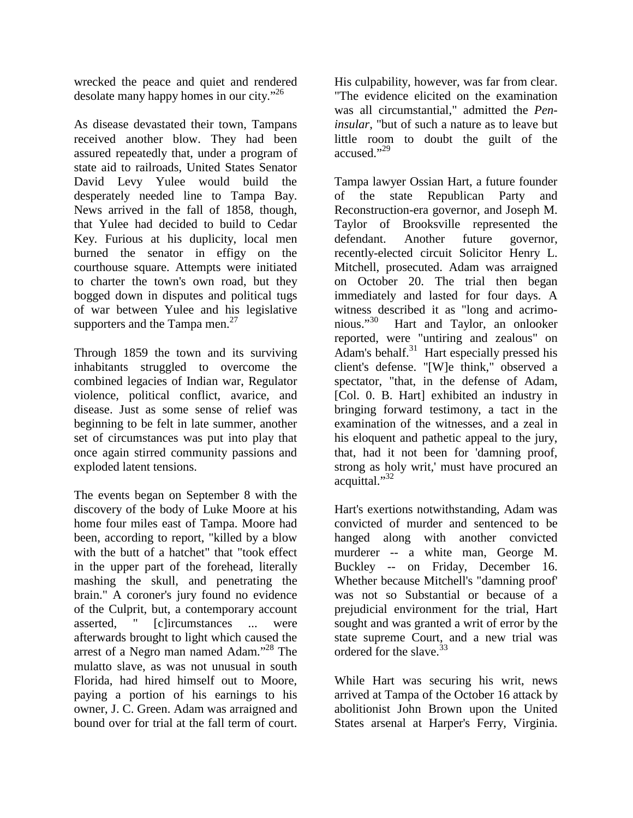wrecked the peace and quiet and rendered desolate many happy homes in our city."26

As disease devastated their town, Tampans received another blow. They had been assured repeatedly that, under a program of state aid to railroads, United States Senator David Levy Yulee would build the desperately needed line to Tampa Bay. News arrived in the fall of 1858, though, that Yulee had decided to build to Cedar Key. Furious at his duplicity, local men burned the senator in effigy on the courthouse square. Attempts were initiated to charter the town's own road, but they bogged down in disputes and political tugs of war between Yulee and his legislative supporters and the Tampa men. $^{27}$ 

Through 1859 the town and its surviving inhabitants struggled to overcome the combined legacies of Indian war, Regulator violence, political conflict, avarice, and disease. Just as some sense of relief was beginning to be felt in late summer, another set of circumstances was put into play that once again stirred community passions and exploded latent tensions.

The events began on September 8 with the discovery of the body of Luke Moore at his home four miles east of Tampa. Moore had been, according to report, "killed by a blow with the butt of a hatchet" that "took effect in the upper part of the forehead, literally mashing the skull, and penetrating the brain." A coroner's jury found no evidence of the Culprit, but, a contemporary account asserted, " [c]ircumstances ... were afterwards brought to light which caused the arrest of a Negro man named Adam."<sup>28</sup> The mulatto slave, as was not unusual in south Florida, had hired himself out to Moore, paying a portion of his earnings to his owner, J. C. Green. Adam was arraigned and bound over for trial at the fall term of court.

His culpability, however, was far from clear. "The evidence elicited on the examination was all circumstantial," admitted the *Peninsular*, "but of such a nature as to leave but little room to doubt the guilt of the accused."29

Tampa lawyer Ossian Hart, a future founder of the state Republican Party and Reconstruction-era governor, and Joseph M. Taylor of Brooksville represented the defendant. Another future governor, recently-elected circuit Solicitor Henry L. Mitchell, prosecuted. Adam was arraigned on October 20. The trial then began immediately and lasted for four days. A witness described it as "long and acrimonious."30 Hart and Taylor, an onlooker reported, were "untiring and zealous" on Adam's behalf. $31$  Hart especially pressed his client's defense. "[W]e think," observed a spectator, "that, in the defense of Adam, [Col. 0. B. Hart] exhibited an industry in bringing forward testimony, a tact in the examination of the witnesses, and a zeal in his eloquent and pathetic appeal to the jury, that, had it not been for 'damning proof, strong as holy writ,' must have procured an acquittal."32

Hart's exertions notwithstanding, Adam was convicted of murder and sentenced to be hanged along with another convicted murderer -- a white man, George M. Buckley -- on Friday, December 16. Whether because Mitchell's "damning proof' was not so Substantial or because of a prejudicial environment for the trial, Hart sought and was granted a writ of error by the state supreme Court, and a new trial was ordered for the slave.<sup>33</sup>

While Hart was securing his writ, news arrived at Tampa of the October 16 attack by abolitionist John Brown upon the United States arsenal at Harper's Ferry, Virginia.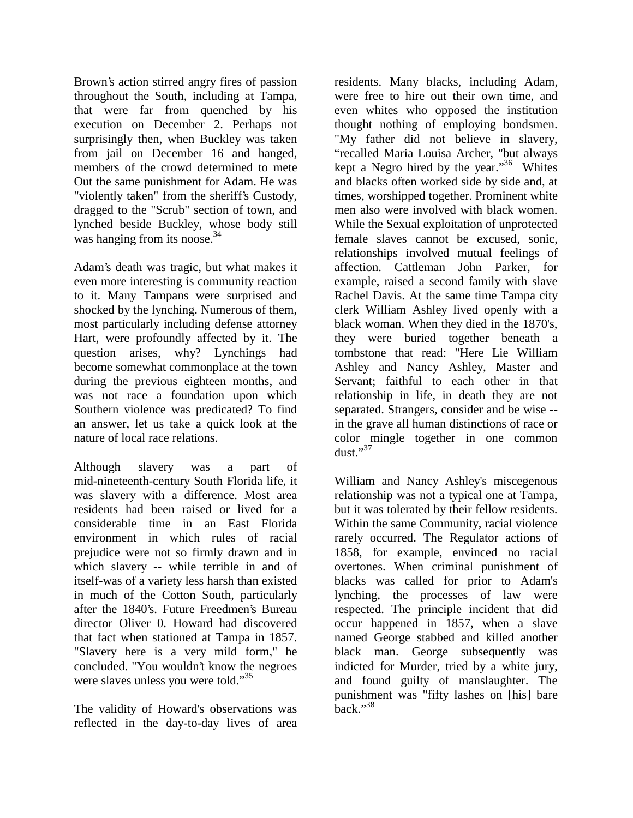Brown's action stirred angry fires of passion throughout the South, including at Tampa, that were far from quenched by his execution on December 2. Perhaps not surprisingly then, when Buckley was taken from jail on December 16 and hanged, members of the crowd determined to mete Out the same punishment for Adam. He was "violently taken" from the sheriff's Custody, dragged to the "Scrub" section of town, and lynched beside Buckley, whose body still was hanging from its noose. $34$ 

Adam's death was tragic, but what makes it even more interesting is community reaction to it. Many Tampans were surprised and shocked by the lynching. Numerous of them, most particularly including defense attorney Hart, were profoundly affected by it. The question arises, why? Lynchings had become somewhat commonplace at the town during the previous eighteen months, and was not race a foundation upon which Southern violence was predicated? To find an answer, let us take a quick look at the nature of local race relations.

Although slavery was a part of mid-nineteenth-century South Florida life, it was slavery with a difference. Most area residents had been raised or lived for a considerable time in an East Florida environment in which rules of racial prejudice were not so firmly drawn and in which slavery -- while terrible in and of itself-was of a variety less harsh than existed in much of the Cotton South, particularly after the 1840's. Future Freedmen's Bureau director Oliver 0. Howard had discovered that fact when stationed at Tampa in 1857. "Slavery here is a very mild form," he concluded. "You wouldn't know the negroes were slaves unless you were told."<sup>35</sup>

The validity of Howard's observations was reflected in the day-to-day lives of area residents. Many blacks, including Adam, were free to hire out their own time, and even whites who opposed the institution thought nothing of employing bondsmen. "My father did not believe in slavery, "recalled Maria Louisa Archer, "but always kept a Negro hired by the year."36 Whites and blacks often worked side by side and, at times, worshipped together. Prominent white men also were involved with black women. While the Sexual exploitation of unprotected female slaves cannot be excused, sonic, relationships involved mutual feelings of affection. Cattleman John Parker, for example, raised a second family with slave Rachel Davis. At the same time Tampa city clerk William Ashley lived openly with a black woman. When they died in the 1870's, they were buried together beneath a tombstone that read: "Here Lie William Ashley and Nancy Ashley, Master and Servant; faithful to each other in that relationship in life, in death they are not separated. Strangers, consider and be wise - in the grave all human distinctions of race or color mingle together in one common dust $\cdot$ <sup>37</sup>

William and Nancy Ashley's miscegenous relationship was not a typical one at Tampa, but it was tolerated by their fellow residents. Within the same Community, racial violence rarely occurred. The Regulator actions of 1858, for example, envinced no racial overtones. When criminal punishment of blacks was called for prior to Adam's lynching, the processes of law were respected. The principle incident that did occur happened in 1857, when a slave named George stabbed and killed another black man. George subsequently was indicted for Murder, tried by a white jury, and found guilty of manslaughter. The punishment was "fifty lashes on [his] bare  $back.$ <sup>38</sup>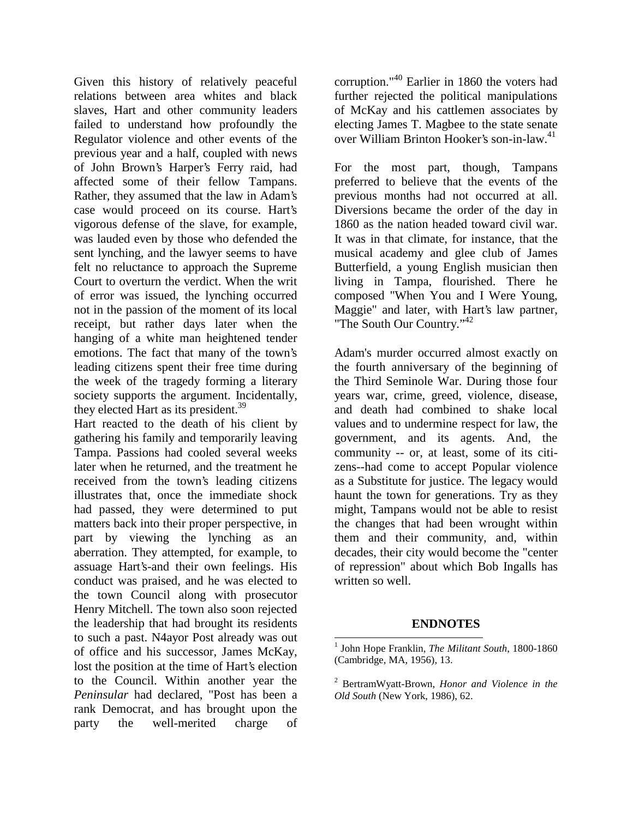Given this history of relatively peaceful relations between area whites and black slaves, Hart and other community leaders failed to understand how profoundly the Regulator violence and other events of the previous year and a half, coupled with news of John Brown's Harper's Ferry raid, had affected some of their fellow Tampans. Rather, they assumed that the law in Adam's case would proceed on its course. Hart's vigorous defense of the slave, for example, was lauded even by those who defended the sent lynching, and the lawyer seems to have felt no reluctance to approach the Supreme Court to overturn the verdict. When the writ of error was issued, the lynching occurred not in the passion of the moment of its local receipt, but rather days later when the hanging of a white man heightened tender emotions. The fact that many of the town's leading citizens spent their free time during the week of the tragedy forming a literary society supports the argument. Incidentally, they elected Hart as its president.<sup>39</sup>

Hart reacted to the death of his client by gathering his family and temporarily leaving Tampa. Passions had cooled several weeks later when he returned, and the treatment he received from the town's leading citizens illustrates that, once the immediate shock had passed, they were determined to put matters back into their proper perspective, in part by viewing the lynching as an aberration. They attempted, for example, to assuage Hart's-and their own feelings. His conduct was praised, and he was elected to the town Council along with prosecutor Henry Mitchell. The town also soon rejected the leadership that had brought its residents to such a past. N4ayor Post already was out of office and his successor, James McKay, lost the position at the time of Hart's election to the Council. Within another year the *Peninsular* had declared, "Post has been a rank Democrat, and has brought upon the party the well-merited charge of

corruption."40 Earlier in 1860 the voters had further rejected the political manipulations of McKay and his cattlemen associates by electing James T. Magbee to the state senate over William Brinton Hooker's son-in-law.41

For the most part, though, Tampans preferred to believe that the events of the previous months had not occurred at all. Diversions became the order of the day in 1860 as the nation headed toward civil war. It was in that climate, for instance, that the musical academy and glee club of James Butterfield, a young English musician then living in Tampa, flourished. There he composed "When You and I Were Young, Maggie" and later, with Hart's law partner, "The South Our Country."42

Adam's murder occurred almost exactly on the fourth anniversary of the beginning of the Third Seminole War. During those four years war, crime, greed, violence, disease, and death had combined to shake local values and to undermine respect for law, the government, and its agents. And, the community -- or, at least, some of its citizens--had come to accept Popular violence as a Substitute for justice. The legacy would haunt the town for generations. Try as they might, Tampans would not be able to resist the changes that had been wrought within them and their community, and, within decades, their city would become the "center of repression" about which Bob Ingalls has written so well.

### **ENDNOTES**

<sup>1</sup> John Hope Franklin, *The Militant South*, 1800-1860 (Cambridge, MA, 1956), 13.

<sup>2</sup> BertramWyatt-Brown, *Honor and Violence in the Old South* (New York, 1986), 62.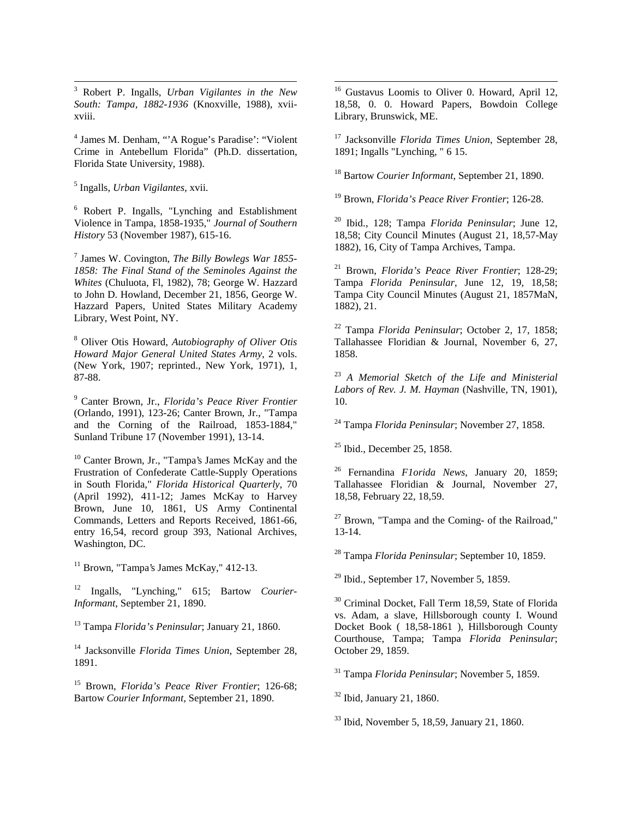3 Robert P. Ingalls, *Urban Vigilantes in the New South: Tampa, 1882-1936* (Knoxville, 1988), xviixviii.

4 James M. Denham, "'A Rogue's Paradise': "Violent Crime in Antebellum Florida" (Ph.D. dissertation, Florida State University, 1988).

5 Ingalls, *Urban Vigilantes*, xvii.

6 Robert P. Ingalls, "Lynching and Establishment Violence in Tampa, 1858-1935," *Journal of Southern History* 53 (November 1987), 615-16.

7 James W. Covington, *The Billy Bowlegs War 1855- 1858: The Final Stand of the Seminoles Against the Whites* (Chuluota, Fl, 1982), 78; George W. Hazzard to John D. Howland, December 21, 1856, George W. Hazzard Papers, United States Military Academy Library, West Point, NY.

8 Oliver Otis Howard, *Autobiography of Oliver Otis Howard Major General United States Army*, 2 vols. (New York, 1907; reprinted., New York, 1971), 1, 87-88.

9 Canter Brown, Jr., *Florida's Peace River Frontier* (Orlando, 1991), 123-26; Canter Brown, Jr., "Tampa and the Corning of the Railroad, 1853-1884," Sunland Tribune 17 (November 1991), 13-14.

10 Canter Brown, Jr., "Tampa's James McKay and the Frustration of Confederate Cattle-Supply Operations in South Florida," *Florida Historical Quarterly*, 70 (April 1992), 411-12; James McKay to Harvey Brown, June 10, 1861, US Army Continental Commands, Letters and Reports Received, 1861-66, entry 16,54, record group 393, National Archives, Washington, DC.

 $11$  Brown, "Tampa's James McKay," 412-13.

12 Ingalls, "Lynching," 615; Bartow *Courier-Informant*, September 21, 1890.

13 Tampa *Florida's Peninsular*; January 21, 1860.

14 Jacksonville *Florida Times Union*, September 28, 1891.

15 Brown, *Florida's Peace River Frontier*; 126-68; Bartow *Courier Informant,* September 21, 1890.

 $\overline{a}$ <sup>16</sup> Gustavus Loomis to Oliver 0. Howard, April 12, 18,58, 0. 0. Howard Papers, Bowdoin College Library, Brunswick, ME.

17 Jacksonville *Florida Times Union*, September 28, 1891; Ingalls "Lynching, " 6 15.

18 Bartow *Courier Informant*, September 21, 1890.

19 Brown, *Florida's Peace River Frontier*; 126-28.

20 Ibid., 128; Tampa *Florida Peninsular*; June 12, 18,58; City Council Minutes (August 21, 18,57-May 1882), 16, City of Tampa Archives, Tampa.

21 Brown, *Florida's Peace River Frontier*; 128-29; Tampa *Florida Peninsular*, June 12, 19, 18,58; Tampa City Council Minutes (August 21, 1857MaN, 1882), 21.

22 Tampa *Florida Peninsular*; October 2, 17, 1858; Tallahassee Floridian & Journal, November 6, 27, 1858.

<sup>23</sup> *A Memorial Sketch of the Life and Ministerial Labors of Rev. J. M. Hayman* (Nashville, TN, 1901), 10.

24 Tampa *Florida Peninsular*; November 27, 1858.

25 Ibid., December 25, 1858.

26 Fernandina *F1orida News*, January 20, 1859; Tallahassee Floridian & Journal, November 27, 18,58, February 22, 18,59.

 $27$  Brown, "Tampa and the Coming- of the Railroad," 13-14.

28 Tampa *Florida Peninsular*; September 10, 1859.

 $29$  Ibid., September 17, November 5, 1859.

30 Criminal Docket, Fall Term 18,59, State of Florida vs. Adam, a slave, Hillsborough county I. Wound Docket Book ( 18,58-1861 ), Hillsborough County Courthouse, Tampa; Tampa *Florida Peninsular*; October 29, 1859.

31 Tampa *Florida Peninsular*; November 5, 1859.

32 Ibid, January 21, 1860.

33 Ibid, November 5, 18,59, January 21, 1860.